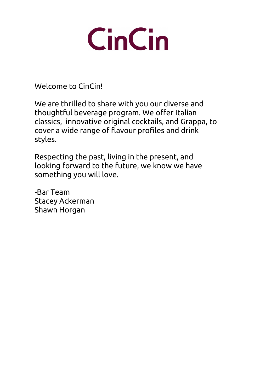

Welcome to CinCin!

We are thrilled to share with you our diverse and thoughtful beverage program. We offer Italian classics, innovative original cocktails, and Grappa, to cover a wide range of flavour profiles and drink styles.

Respecting the past, living in the present, and looking forward to the future, we know we have something you will love.

-Bar Team Stacey Ackerman Shawn Horgan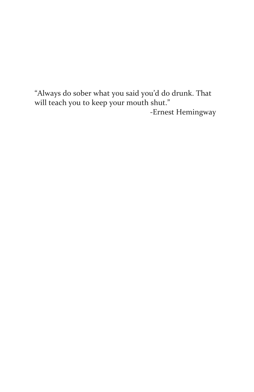"Always do sober what you said you'd do drunk. That will teach you to keep your mouth shut." -Ernest Hemingway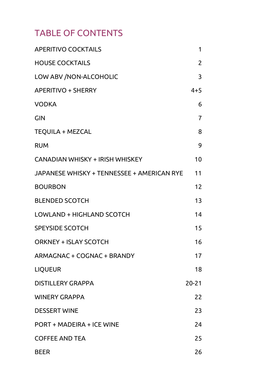### TABLE OF CONTENTS

| <b>APERITIVO COCKTAILS</b>                 | 1       |
|--------------------------------------------|---------|
| <b>HOUSE COCKTAILS</b>                     | 2       |
| LOW ABV /NON-ALCOHOLIC                     | 3       |
| <b>APERITIVO + SHERRY</b>                  | $4 + 5$ |
| <b>VODKA</b>                               | 6       |
| GIN                                        | 7       |
| TEQUILA + MEZCAL                           | 8       |
| <b>RUM</b>                                 | 9       |
| CANADIAN WHISKY + IRISH WHISKEY            | 10      |
| JAPANESE WHISKY + TENNESSEE + AMERICAN RYE | 11      |
| <b>BOURBON</b>                             | 12      |
| <b>BLENDED SCOTCH</b>                      | 13      |
| LOWLAND + HIGHLAND SCOTCH                  | 14      |
| <b>SPEYSIDE SCOTCH</b>                     | 15      |
| ORKNEY + ISLAY SCOTCH                      | 16      |
| ARMAGNAC + COGNAC + BRANDY                 | 17      |
| <b>LIQUEUR</b>                             | 18      |
| <b>DISTILLERY GRAPPA</b>                   | 20-21   |
| <b>WINERY GRAPPA</b>                       | 22      |
| <b>DESSERT WINE</b>                        | 23      |
| PORT + MADEIRA + ICE WINE                  | 24      |
| <b>COFFEE AND TEA</b>                      | 25      |
| <b>BEER</b>                                | 26      |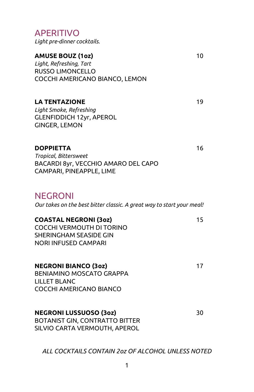RUSSO LIMONCELLO COCCHI AMERICANO BIANCO, LEMON LA TENTAZIONE 19 Light Smoke, Refreshing GLENFIDDICH 12yr, APEROL GINGER, LEMON DOPPIETTA 16 Tropical, Bittersweet BACARDI 8yr, VECCHIO AMARO DEL CAPO CAMPARI, PINEAPPLE, LIME NEGRONI Our takes on the best bitter classic. A great way to start your meal! COASTAL NEGRONI (3oz) 15 COCCHI VERMOUTH DI TORINO SHERINGHAM SEASIDE GIN NORI INFUSED CAMPARI NEGRONI BIANCO (3oz) 17 BENIAMINO MOSCATO GRAPPA LILLET BLANC COCCHI AMERICANO BIANCO NEGRONI LUSSUOSO (3oz) 30 BOTANIST GIN, CONTRATTO BITTER SILVIO CARTA VERMOUTH, APEROL

AMUSE BOUZ (1oz) 10

APERITIVO

Light pre-dinner cocktails.

Light, Refreshing, Tart

ALL COCKTAILS CONTAIN 2oz OF ALCOHOL UNLESS NOTED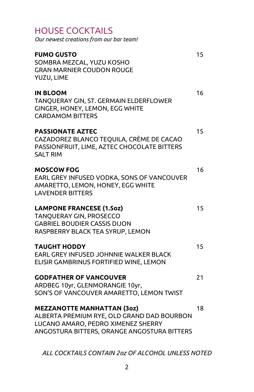| <b>HOUSE COCKTAILS</b><br>Our newest creations from our bar team!                                                                                                    |    |
|----------------------------------------------------------------------------------------------------------------------------------------------------------------------|----|
| <b>FUMO GUSTO</b><br>SOMBRA MEZCAL, YUZU KOSHO<br><b>GRAN MARNIER COUDON ROUGE</b><br>YUZU, LIME                                                                     | 15 |
| <b>IN BLOOM</b><br>TANQUERAY GIN, ST. GERMAIN ELDERFLOWER<br>GINGER, HONEY, LEMON, EGG WHITE<br><b>CARDAMOM BITTERS</b>                                              | 16 |
| <b>PASSIONATE AZTEC</b><br>CAZADOREZ BLANCO TEQUILA, CRÈME DE CACAO<br>PASSIONFRUIT, LIME, AZTEC CHOCOLATE BITTERS<br><b>SALT RIM</b>                                | 15 |
| <b>MOSCOW FOG</b><br>EARL GREY INFUSED VODKA, SONS OF VANCOUVER<br>AMARETTO, LEMON, HONEY, EGG WHITE<br><b>LAVENDER BITTERS</b>                                      | 16 |
| <b>LAMPONE FRANCESE (1.5oz)</b><br>TANQUERAY GIN, PROSECCO<br><b>GABRIEL BOUDIER CASSIS DIJON</b><br>RASPBERRY BLACK TEA SYRUP, LEMON                                | 15 |
| <b>TAUGHT HODDY</b><br>EARL GREY INFUSED JOHNNIE WALKER BLACK<br>ELISIR GAMBRINUS FORTIFIED WINE, LEMON                                                              | 15 |
| <b>GODFATHER OF VANCOUVER</b><br>ARDBEG 10yr, GLENMORANGIE 10yr,<br>SON'S OF VANCOUVER AMARETTO, LEMON TWIST                                                         | 21 |
| <b>MEZZANOTTE MANHATTAN (30z)</b><br>ALBERTA PREMIUM RYE, OLD GRAND DAD BOURBON<br>LUCANO AMARO, PEDRO XIMENEZ SHERRY<br>ANGOSTURA BITTERS, ORANGE ANGOSTURA BITTERS | 18 |
|                                                                                                                                                                      |    |

ALL COCKTAILS CONTAIN 2oz OF ALCOHOL UNLESS NOTED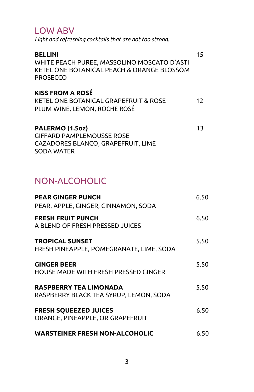#### LOW ABV

Light and refreshing cocktails that are not too strong.

| <b>BELLINI</b><br>WHITE PEACH PUREE, MASSOLINO MOSCATO D'ASTI<br>KETEL ONE BOTANICAL PEACH & ORANGE BLOSSOM<br><b>PROSECCO</b> | 15 |
|--------------------------------------------------------------------------------------------------------------------------------|----|
| <b>KISS FROM A ROSÉ</b><br>KETEL ONE BOTANICAL GRAPEFRUIT & ROSE<br>PLUM WINE, LEMON, ROCHE ROSÉ                               | 12 |
| PALERMO (1.5oz)<br><b>GIFFARD PAMPLEMOUSSE ROSE</b><br>CAZADORES BLANCO, GRAPEFRUIT, LIME                                      | 13 |

### NON-ALCOHOLIC

SODA WATER

| <b>PEAR GINGER PUNCH</b><br>PEAR, APPLE, GINGER, CINNAMON, SODA         | 6.50 |
|-------------------------------------------------------------------------|------|
| <b>FRESH FRUIT PUNCH</b><br>A BLEND OF FRESH PRESSED JUICES             | 6.50 |
| <b>TROPICAL SUNSET</b><br>FRESH PINEAPPLE, POMEGRANATE, LIME, SODA      | 5.50 |
| <b>GINGER BEER</b><br>HOUSE MADE WITH FRESH PRESSED GINGER              | 5.50 |
| <b>RASPBERRY TEA LIMONADA</b><br>RASPBERRY BLACK TEA SYRUP, LEMON, SODA | 5.50 |
| <b>FRESH SQUEEZED JUICES</b><br>ORANGE, PINEAPPLE, OR GRAPEFRUIT        | 6.50 |
| <b>WARSTEINER FRESH NON-ALCOHOLIC</b>                                   | 6.50 |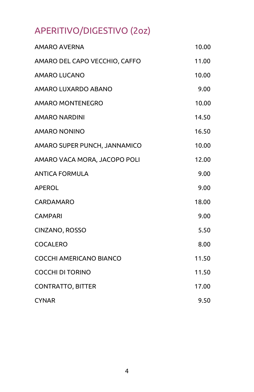# APERITIVO/DIGESTIVO (2oz)

| <b>AMARO AVERNA</b>           | 10.00 |
|-------------------------------|-------|
| AMARO DEL CAPO VECCHIO, CAFFO | 11.00 |
| AMARO LUCANO                  | 10.00 |
| AMARO LUXARDO ABANO           | 9.00  |
| AMARO MONTENEGRO              | 10.00 |
| <b>AMARO NARDINI</b>          | 14.50 |
| AMARO NONINO                  | 16.50 |
| AMARO SUPER PUNCH, JANNAMICO  | 10.00 |
| AMARO VACA MORA, JACOPO POLI  | 12.00 |
| <b>ANTICA FORMULA</b>         | 9.00  |
| <b>APEROL</b>                 | 9.00  |
| CARDAMARO                     | 18.00 |
| <b>CAMPARI</b>                | 9.00  |
| CINZANO, ROSSO                | 5.50  |
| <b>COCALERO</b>               | 8.00  |
| COCCHI AMERICANO BIANCO       | 11.50 |
| <b>COCCHI DI TORINO</b>       | 11.50 |
| <b>CONTRATTO, BITTER</b>      | 17.00 |
| <b>CYNAR</b>                  | 9.50  |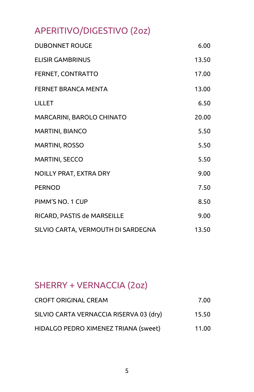# APERITIVO/DIGESTIVO (2oz)

| <b>DUBONNET ROUGE</b>              | 6.00  |
|------------------------------------|-------|
| <b>FLISIR GAMBRINUS</b>            | 13.50 |
| FERNET, CONTRATTO                  | 17.00 |
| FERNET BRANCA MENTA                | 13.00 |
| LILLET                             | 6.50  |
| MARCARINI, BAROLO CHINATO          | 20.00 |
| <b>MARTINI, BIANCO</b>             | 5.50  |
| <b>MARTINI, ROSSO</b>              | 5.50  |
| MARTINI, SECCO                     | 5.50  |
| NOILLY PRAT, EXTRA DRY             | 9.00  |
| <b>PERNOD</b>                      | 7.50  |
| PIMM'S NO. 1 CUP                   | 8.50  |
| RICARD, PASTIS de MARSEILLE        | 9.00  |
| SILVIO CARTA, VERMOUTH DI SARDEGNA | 13.50 |

# SHERRY + VERNACCIA (2oz)

| <b>CROFT ORIGINAL CREAM</b>             | 7.00  |
|-----------------------------------------|-------|
| SILVIO CARTA VERNACCIA RISERVA 03 (dry) | 15.50 |
| HIDALGO PEDRO XIMENEZ TRIANA (sweet)    | 11.00 |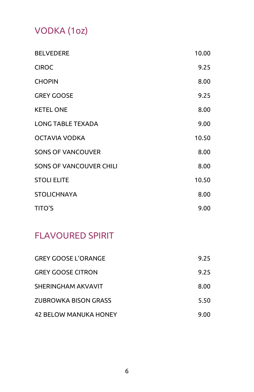# VODKA (1oz)

| <b>BELVEDERE</b>               | 10.00 |
|--------------------------------|-------|
| <b>CIROC</b>                   | 9.25  |
| <b>CHOPIN</b>                  | 8.00  |
| <b>GREY GOOSE</b>              | 9.25  |
| <b>KETEL ONE</b>               | 8.00  |
| <b>LONG TABLE TEXADA</b>       | 9.00  |
| OCTAVIA VODKA                  | 10.50 |
| <b>SONS OF VANCOUVER</b>       | 8.00  |
| <b>SONS OF VANCOUVER CHILI</b> | 8.00  |
| <b>STOLI ELITE</b>             | 10.50 |
| <b>STOLICHNAYA</b>             | 8.00  |
| <b>TITO'S</b>                  | 9.00  |

### FLAVOURED SPIRIT

| <b>GREY GOOSE L'ORANGE</b>   | 9.25 |
|------------------------------|------|
| <b>GREY GOOSE CITRON</b>     | 9.25 |
| SHERINGHAM AKVAVIT           | 8.00 |
| ZUBROWKA BISON GRASS         | 5.50 |
| <b>42 BELOW MANUKA HONEY</b> | 9.00 |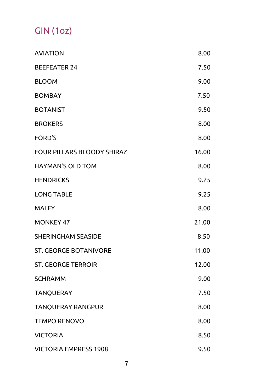# GIN (1oz)

| <b>AVIATION</b>              | 8.00  |
|------------------------------|-------|
| <b>BEEFEATER 24</b>          | 7.50  |
| <b>BLOOM</b>                 | 9.00  |
| <b>BOMBAY</b>                | 7.50  |
| <b>BOTANIST</b>              | 9.50  |
| <b>BROKERS</b>               | 8.00  |
| FORD'S                       | 8.00  |
| FOUR PILLARS BLOODY SHIRAZ   | 16.00 |
| HAYMAN'S OLD TOM             | 8.00  |
| <b>HENDRICKS</b>             | 9.25  |
| <b>LONG TABLE</b>            | 9.25  |
| <b>MALFY</b>                 | 8.00  |
| <b>MONKEY 47</b>             | 21.00 |
| <b>SHERINGHAM SEASIDE</b>    | 8.50  |
| ST. GEORGE BOTANIVORE        | 11.00 |
| <b>ST. GEORGE TERROIR</b>    | 12.00 |
| <b>SCHRAMM</b>               | 9.00  |
| <b>TANQUERAY</b>             | 7.50  |
| TANQUERAY RANGPUR            | 8.00  |
| <b>TEMPO RENOVO</b>          | 8.00  |
| <b>VICTORIA</b>              | 8.50  |
| <b>VICTORIA EMPRESS 1908</b> | 9.50  |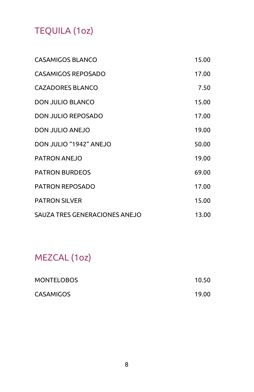# TEQUILA (1oz)

| <b>CASAMIGOS BLANCO</b>       | 15.00 |
|-------------------------------|-------|
| CASAMIGOS REPOSADO            | 17.00 |
| <b>CAZADORES BLANCO</b>       | 7.50  |
| <b>DON JULIO BLANCO</b>       | 15.00 |
| DON JULIO REPOSADO            | 17.00 |
| DON JULIO ANEJO               | 19.00 |
| DON JULIO "1942" ANEJO        | 50.00 |
| <b>PATRON ANEJO</b>           | 19.00 |
| <b>PATRON BURDEOS</b>         | 69.00 |
| PATRON REPOSADO               | 17.00 |
| <b>PATRON SILVER</b>          | 15.00 |
| SAUZA TRES GENERACIONES ANEJO | 13.00 |

# MEZCAL (1oz)

| <b>MONTELOBOS</b> | 10.50 |
|-------------------|-------|
| <b>CASAMIGOS</b>  | 19.00 |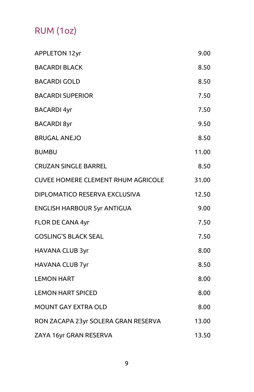# RUM (1oz)

| <b>APPLETON 12yr</b>                      | 9.00  |
|-------------------------------------------|-------|
| <b>BACARDI BLACK</b>                      | 8.50  |
| <b>BACARDI GOLD</b>                       | 8.50  |
| <b>BACARDI SUPERIOR</b>                   | 7.50  |
| <b>BACARDI 4yr</b>                        | 7.50  |
| <b>BACARDI 8yr</b>                        | 9.50  |
| <b>BRUGAL ANEJO</b>                       | 8.50  |
| BUMBU                                     | 11.00 |
| <b>CRUZAN SINGLE BARREL</b>               | 8.50  |
| <b>CUVEE HOMERE CLEMENT RHUM AGRICOLE</b> | 31.00 |
| DIPLOMATICO RESERVA EXCLUSIVA             | 12.50 |
| <b>ENGLISH HARBOUR 5yr ANTIGUA</b>        | 9.00  |
| FLOR DE CANA 4yr                          | 7.50  |
| <b>GOSLING'S BLACK SEAL</b>               | 7.50  |
| <b>HAVANA CLUB 3yr</b>                    | 8.00  |
| HAVANA CLUB 7yr                           | 8.50  |
| <b>LEMON HART</b>                         | 8.00  |
| <b>LEMON HART SPICED</b>                  | 8.00  |
| MOUNT GAY EXTRA OLD                       | 8.00  |
| RON ZACAPA 23yr SOLERA GRAN RESERVA       | 13.00 |
| ZAYA 16yr GRAN RESERVA                    | 13.50 |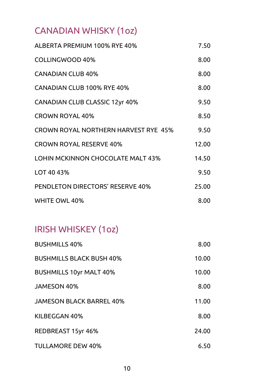# CANADIAN WHISKY (1oz)

| ALBERTA PREMIUM 100% RYE 40%                | 7.50  |
|---------------------------------------------|-------|
| COLLINGWOOD 40%                             | 8.00  |
| <b>CANADIAN CLUB 40%</b>                    | 8.00  |
| CANADIAN CLUB 100% RYE 40%                  | 8.00  |
| <b>CANADIAN CLUB CLASSIC 12yr 40%</b>       | 9.50  |
| <b>CROWN ROYAL 40%</b>                      | 8.50  |
| <b>CROWN ROYAL NORTHERN HARVEST RYE 45%</b> | 9.50  |
| <b>CROWN ROYAL RESERVE 40%</b>              | 12.00 |
| <b>LOHIN MCKINNON CHOCOLATE MALT 43%</b>    | 14.50 |
| LOT 40 43%                                  | 9.50  |
| PENDLETON DIRECTORS' RESERVE 40%            | 25.00 |
| WHITE OWL 40%                               | 8.00  |

### IRISH WHISKEY (1oz)

| <b>BUSHMILLS 40%</b>            | 8.00  |
|---------------------------------|-------|
| <b>BUSHMILLS BLACK BUSH 40%</b> | 10.00 |
| <b>BUSHMILLS 10yr MALT 40%</b>  | 10.00 |
| <b>JAMESON 40%</b>              | 8.00  |
| <b>JAMESON BLACK BARREL 40%</b> | 11.00 |
| KILBEGGAN 40%                   | 8.00  |
| REDBREAST 15yr 46%              | 24.00 |
| TULLAMORE DEW 40%               | 6.50  |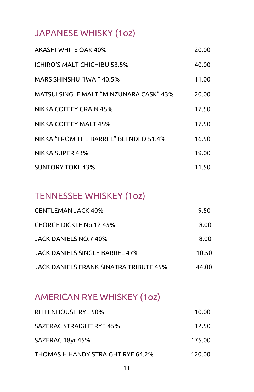### JAPANESE WHISKY (1oz)

| AKASHI WHITE OAK 40%                   | 20.00 |
|----------------------------------------|-------|
| ICHIRO'S MALT CHICHIBU 53.5%           | 40.00 |
| MARS SHINSHU "IWAI" 40.5%              | 11.00 |
| MATSULSINGLE MALT "MINZUNARA CASK" 43% | 20.00 |
| NIKKA COFFEY GRAIN 45%                 | 17.50 |
| NIKKA COFFEY MALT 45%                  | 17.50 |
| NIKKA "FROM THE BARREL" BLENDED 51.4%  | 16.50 |
| <b>NIKKA SUPER 43%</b>                 | 19.00 |
| <b>SUNTORY TOKI 43%</b>                | 11.50 |

### TENNESSEE WHISKEY (1oz)

| <b>GENTLEMAN JACK 40%</b>                     | 9.50  |
|-----------------------------------------------|-------|
| GEORGE DICKLE No.12 45%                       | 8.00  |
| JACK DANIELS NO.7 40%                         | 8.00  |
| JACK DANIELS SINGLE BARREL 47%                | 10.50 |
| <b>JACK DANIELS FRANK SINATRA TRIBUTE 45%</b> | 44.00 |

# AMERICAN RYE WHISKEY (1oz)

| RITTENHOUSE RYE 50%               | 10.00  |
|-----------------------------------|--------|
| SAZERAC STRAIGHT RYF 45%          | 12.50  |
| SAZERAC 18yr 45%                  | 175.00 |
| THOMAS H HANDY STRAIGHT RYE 64.2% | 120.00 |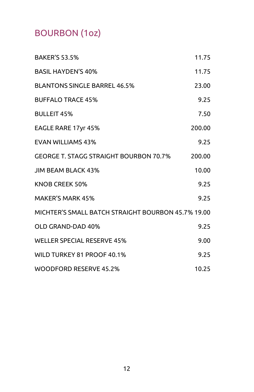# BOURBON (1oz)

| <b>BAKER'S 53.5%</b>                               | 11.75  |
|----------------------------------------------------|--------|
| <b>BASIL HAYDEN'S 40%</b>                          | 11.75  |
| <b>BLANTONS SINGLE BARREL 46.5%</b>                | 23.00  |
| <b>BUFFALO TRACE 45%</b>                           | 9.25   |
| <b>BULLEIT 45%</b>                                 | 7.50   |
| EAGLE RARE 17yr 45%                                | 200.00 |
| <b>EVAN WILLIAMS 43%</b>                           | 9.25   |
| GEORGE T. STAGG STRAIGHT BOURBON 70.7%             | 200.00 |
| JIM BEAM BLACK 43%                                 | 10.00  |
| KNOB CREEK 50%                                     | 9.25   |
| <b>MAKER'S MARK 45%</b>                            | 9.25   |
| MICHTER'S SMALL BATCH STRAIGHT BOURBON 45.7% 19.00 |        |
| OLD GRAND-DAD 40%                                  | 9.25   |
| <b>WELLER SPECIAL RESERVE 45%</b>                  | 9.00   |
| WILD TURKEY 81 PROOF 40.1%                         | 9.25   |
| WOODFORD RESERVE 45.2%                             | 10.25  |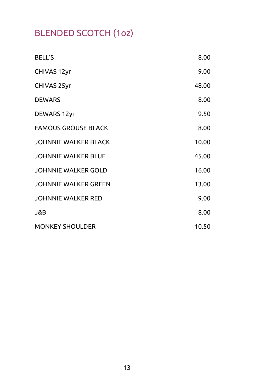# BLENDED SCOTCH (1oz)

| <b>BELL'S</b>               | 8.00  |
|-----------------------------|-------|
| <b>CHIVAS 12yr</b>          | 9.00  |
| CHIVAS 25yr                 | 48.00 |
| <b>DEWARS</b>               | 8.00  |
| <b>DEWARS 12yr</b>          | 9.50  |
| <b>FAMOUS GROUSE BLACK</b>  | 8.00  |
| <b>JOHNNIE WALKER BLACK</b> | 10.00 |
| JOHNNIE WALKER BLUE         | 45.00 |
| JOHNNIE WALKER GOLD         | 16.00 |
| <b>JOHNNIE WALKER GREEN</b> | 13.00 |
| JOHNNIE WALKER RED          | 9.00  |
| J&B                         | 8.00  |
| <b>MONKEY SHOULDER</b>      | 10.50 |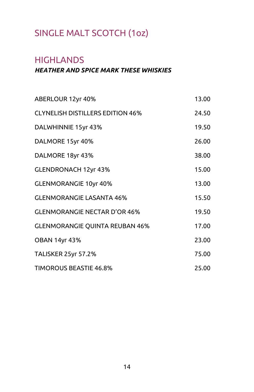### SINGLE MALT SCOTCH (1oz)

### **HIGHLANDS**

#### HEATHER AND SPICE MARK THESE WHISKIES

| ABERLOUR 12yr 40%                       | 13.00 |
|-----------------------------------------|-------|
| <b>CLYNELISH DISTILLERS EDITION 46%</b> | 24.50 |
| DALWHINNIE 15yr 43%                     | 19.50 |
| DALMORE 15yr 40%                        | 26.00 |
| DALMORE 18yr 43%                        | 38.00 |
| <b>GLENDRONACH 12yr 43%</b>             | 15.00 |
| <b>GLENMORANGIE 10yr 40%</b>            | 13.00 |
| <b>GLENMORANGIE LASANTA 46%</b>         | 15.50 |
| <b>GLENMORANGIE NECTAR D'OR 46%</b>     | 19.50 |
| <b>GLENMORANGIE QUINTA REUBAN 46%</b>   | 17.00 |
| <b>OBAN 14yr 43%</b>                    | 23.00 |
| <b>TALISKER 25yr 57.2%</b>              | 75.00 |
| <b>TIMOROUS BEASTIE 46.8%</b>           | 25.00 |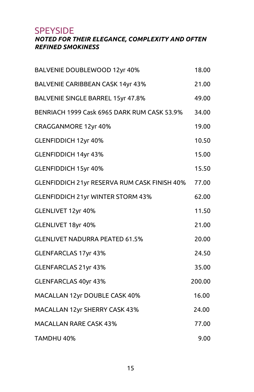SPEYSIDE

#### NOTED FOR THEIR ELEGANCE, COMPLEXITY AND OFTEN REFINED SMOKINESS

| BALVENIE DOUBLEWOOD 12yr 40%                 | 18.00  |
|----------------------------------------------|--------|
| BALVENIE CARIBBEAN CASK 14yr 43%             | 21.00  |
| BALVENIE SINGLE BARREL 15yr 47.8%            | 49.00  |
| BENRIACH 1999 Cask 6965 DARK RUM CASK 53.9%  | 34.00  |
| CRAGGANMORE 12yr 40%                         | 19.00  |
| GLENFIDDICH 12yr 40%                         | 10.50  |
| <b>GLENFIDDICH 14yr 43%</b>                  | 15.00  |
| <b>GLENFIDDICH 15yr 40%</b>                  | 15.50  |
| GLENFIDDICH 21yr RESERVA RUM CASK FINISH 40% | 77.00  |
| <b>GLENFIDDICH 21yr WINTER STORM 43%</b>     | 62.00  |
| GLENLIVET 12yr 40%                           | 11.50  |
| GLENLIVET 18yr 40%                           | 21.00  |
| <b>GLENLIVET NADURRA PEATED 61.5%</b>        | 20.00  |
| <b>GLENFARCLAS 17yr 43%</b>                  | 24.50  |
| GLENFARCLAS 21yr 43%                         | 35.00  |
| <b>GLENFARCLAS 40yr 43%</b>                  | 200.00 |
| MACALLAN 12yr DOUBLE CASK 40%                | 16.00  |
| MACALLAN 12yr SHERRY CASK 43%                | 24.00  |
| MACALLAN RARE CASK 43%                       | 77.00  |
| TAMDHU 40%                                   | 9.00   |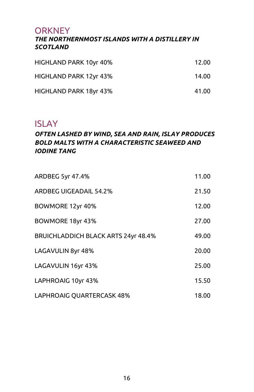### **ORKNEY**

#### THE NORTHERNMOST ISLANDS WITH A DISTILLERY IN **SCOTLAND**

| HIGHLAND PARK 10yr 40% | 12.00 |
|------------------------|-------|
| HIGHLAND PARK 12yr 43% | 14.00 |
| HIGHLAND PARK 18yr 43% | 41.00 |

### ISLAY

#### OFTEN LASHED BY WIND, SEA AND RAIN, ISLAY PRODUCES BOLD MALTS WITH A CHARACTERISTIC SEAWEED AND IODINE TANG

| ARDBEG 5yr 47.4%                           | 11.00 |
|--------------------------------------------|-------|
| ARDBEG UIGEADAIL 54.2%                     | 21.50 |
| BOWMORE 12yr 40%                           | 12.00 |
| BOWMORE 18yr 43%                           | 27.00 |
| <b>BRUICHLADDICH BLACK ARTS 24yr 48.4%</b> | 49.00 |
| LAGAVULIN 8yr 48%                          | 20.00 |
| LAGAVULIN 16yr 43%                         | 25.00 |
| LAPHROAIG 10yr 43%                         | 15.50 |
| LAPHROAIG QUARTERCASK 48%                  | 18.00 |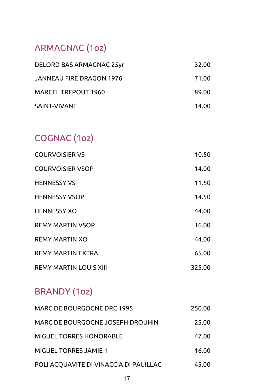### ARMAGNAC (1oz)

| DELORD BAS ARMAGNAC 25yr | 32.00 |
|--------------------------|-------|
| JANNEAU FIRE DRAGON 1976 | 71.00 |
| MARCEL TREPOUT 1960      | 89.00 |
| SAINT-VIVANT             | 14.00 |

# COGNAC (1oz)

| <b>COURVOISIER VS</b>         | 10.50  |
|-------------------------------|--------|
| <b>COURVOISIER VSOP</b>       | 14.00  |
| <b>HENNESSY VS</b>            | 11.50  |
| <b>HENNESSY VSOP</b>          | 14.50  |
| <b>HENNESSY XO</b>            | 44.00  |
| <b>REMY MARTIN VSOP</b>       | 16.00  |
| REMY MARTIN XO                | 44.00  |
| <b>REMY MARTIN EXTRA</b>      | 65.00  |
| <b>REMY MARTIN LOUIS XIII</b> | 325.00 |

# BRANDY (1oz)

| MARC DE BOURGOGNE DRC 1995             | 250.00 |
|----------------------------------------|--------|
| MARC DE BOURGOGNE JOSEPH DROUHIN       | 25.00  |
| MIGUEL TORRES HONORABLE                | 47.00  |
| <b>MIGUEL TORRES JAMIE 1</b>           | 16.00  |
| POLI ACQUAVITE DI VINACCIA DI PAUILLAC | 45.00  |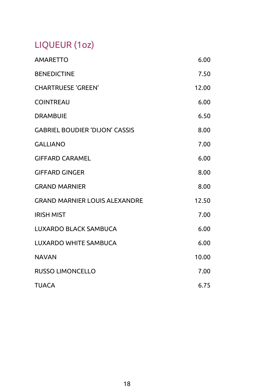# LIQUEUR (1oz)

| <b>AMARETTO</b>                       | 6.00  |
|---------------------------------------|-------|
| <b>BENEDICTINE</b>                    | 7.50  |
| <b>CHARTRUESE 'GREEN'</b>             | 12.00 |
| <b>COINTREAU</b>                      | 6.00  |
| <b>DRAMBUIE</b>                       | 6.50  |
| <b>GABRIEL BOUDIER 'DIJON' CASSIS</b> | 8.00  |
| <b>GALLIANO</b>                       | 7.00  |
| <b>GIFFARD CARAMEL</b>                | 6.00  |
| <b>GIFFARD GINGER</b>                 | 8.00  |
| <b>GRAND MARNIER</b>                  | 8.00  |
| <b>GRAND MARNIER LOUIS ALEXANDRE</b>  | 12.50 |
| <b>IRISH MIST</b>                     | 7.00  |
| LUXARDO BLACK SAMBUCA                 | 6.00  |
| <b>LUXARDO WHITE SAMBUCA</b>          | 6.00  |
| <b>NAVAN</b>                          | 10.00 |
| <b>RUSSO LIMONCELLO</b>               | 7.00  |
| TUACA                                 | 6.75  |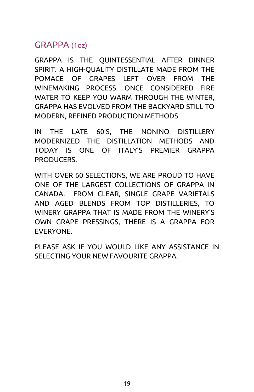### GRAPPA (1oz)

GRAPPA IS THE QUINTESSENTIAL AFTER DINNER SPIRIT. A HIGH-QUALITY DISTILLATE MADE FROM THE POMACE OF GRAPES LEFT OVER FROM THE WINEMAKING PROCESS. ONCE CONSIDERED FIRE WATER TO KEEP YOU WARM THROUGH THE WINTER, GRAPPA HAS EVOLVED FROM THE BACKYARD STILL TO MODERN, REFINED PRODUCTION METHODS.

IN THE LATE 60'S, THE NONINO DISTILLERY MODERNIZED THE DISTILLATION METHODS AND TODAY IS ONE OF ITALY'S PREMIER GRAPPA PRODUCERS.

WITH OVER 60 SELECTIONS, WE ARE PROUD TO HAVE ONE OF THE LARGEST COLLECTIONS OF GRAPPA IN CANADA. FROM CLEAR, SINGLE GRAPE VARIETALS AND AGED BLENDS FROM TOP DISTILLERIES, TO WINERY GRAPPA THAT IS MADE FROM THE WINERY'S OWN GRAPE PRESSINGS, THERE IS A GRAPPA FOR EVERYONE.

PLEASE ASK IF YOU WOULD LIKE ANY ASSISTANCE IN SELECTING YOUR NEW FAVOURITE GRAPPA.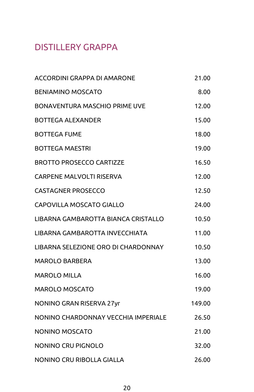### DISTILLERY GRAPPA

| ACCORDINI GRAPPA DI AMARONE         | 21.00  |
|-------------------------------------|--------|
| <b>BENIAMINO MOSCATO</b>            | 8.00   |
| BONAVENTURA MASCHIO PRIME UVE       | 12.00  |
| BOTTEGA ALEXANDER                   | 15.00  |
| <b>BOTTEGA FUME</b>                 | 18.00  |
| <b>BOTTEGA MAESTRI</b>              | 19.00  |
| BROTTO PROSECCO CARTIZZE            | 16.50  |
| CARPENE MALVOLTI RISERVA            | 12.00  |
| <b>CASTAGNER PROSECCO</b>           | 12.50  |
| <b>CAPOVILLA MOSCATO GIALLO</b>     | 24.00  |
| LIBARNA GAMBAROTTA BIANCA CRISTALLO | 10.50  |
| LIBARNA GAMBAROTTA INVECCHIATA      | 11.00  |
| LIBARNA SELEZIONE ORO DI CHARDONNAY | 10.50  |
| <b>MAROLO BARBERA</b>               | 13.00  |
| MAROLO MILLA                        | 16.00  |
| MAROLO MOSCATO                      | 19.00  |
| NONINO GRAN RISERVA 27yr            | 149.00 |
| NONINO CHARDONNAY VECCHIA IMPERIALE | 26.50  |
| NONINO MOSCATO                      | 21.00  |
| NONINO CRU PIGNOLO                  | 32.00  |
| NONINO CRU RIBOLLA GIALLA           | 26.00  |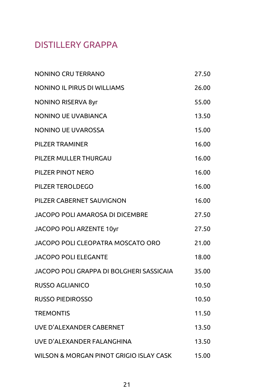### DISTILLERY GRAPPA

| <b>NONINO CRU TERRANO</b>                | 27.50 |
|------------------------------------------|-------|
| NONINO IL PIRUS DI WILLIAMS              | 26.00 |
| <b>NONINO RISERVA 8yr</b>                | 55.00 |
| NONINO UE UVABIANCA                      | 13.50 |
| NONINO UE UVAROSSA                       | 15.00 |
| PILZER TRAMINER                          | 16.00 |
| PILZER MULLER THURGAU                    | 16.00 |
| PILZER PINOT NERO                        | 16.00 |
| PILZER TEROLDEGO                         | 16.00 |
| PILZER CABERNET SAUVIGNON                | 16.00 |
| JACOPO POLI AMAROSA DI DICEMBRE          | 27.50 |
| JACOPO POLI ARZENTE 10yr                 | 27.50 |
| JACOPO POLI CLEOPATRA MOSCATO ORO        | 21.00 |
| JACOPO POLI ELEGANTE                     | 18.00 |
| JACOPO POLI GRAPPA DI BOLGHERI SASSICAIA | 35.00 |
| <b>RUSSO AGLIANICO</b>                   | 10.50 |
| <b>RUSSO PIEDIROSSO</b>                  | 10.50 |
| <b>TREMONTIS</b>                         | 11.50 |
| UVE D'ALEXANDER CABERNET                 | 13.50 |
| UVE D'ALEXANDER FALANGHINA               | 13.50 |
| WILSON & MORGAN PINOT GRIGIO ISLAY CASK  | 15.00 |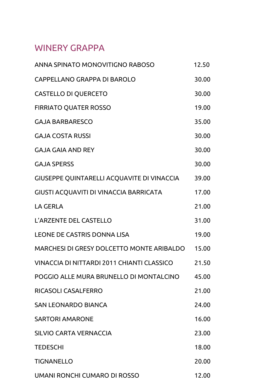### WINERY GRAPPA

| ANNA SPINATO MONOVITIGNO RABOSO            | 12.50 |
|--------------------------------------------|-------|
| CAPPELLANO GRAPPA DI BAROLO                | 30.00 |
| <b>CASTELLO DI QUERCETO</b>                | 30.00 |
| <b>FIRRIATO QUATER ROSSO</b>               | 19.00 |
| GAJA BARBARESCO                            | 35.00 |
| <b>GAJA COSTA RUSSI</b>                    | 30.00 |
| GAJA GAIA AND REY                          | 30.00 |
| GAJA SPERSS                                | 30.00 |
| GIUSEPPE QUINTARELLI ACQUAVITE DI VINACCIA | 39.00 |
| GIUSTI ACQUAVITI DI VINACCIA BARRICATA     | 17.00 |
| LA GERLA                                   | 21.00 |
| L'ARZENTE DEL CASTELLO                     | 31.00 |
| <b>LEONE DE CASTRIS DONNA LISA</b>         | 19.00 |
| MARCHESI DI GRESY DOLCETTO MONTE ARIBALDO  | 15.00 |
| VINACCIA DI NITTARDI 2011 CHIANTI CLASSICO | 21.50 |
| POGGIO ALLE MURA BRUNELLO DI MONTALCINO    | 45.00 |
| RICASOLI CASALFERRO                        | 21.00 |
| SAN LEONARDO BIANCA                        | 24.00 |
| SARTORI AMARONE                            | 16.00 |
| SILVIO CARTA VERNACCIA                     | 23.00 |
| TEDESCHI                                   | 18.00 |
| TIGNANELLO                                 | 20.00 |
| UMANI RONCHI CUMARO DI ROSSO               | 12.00 |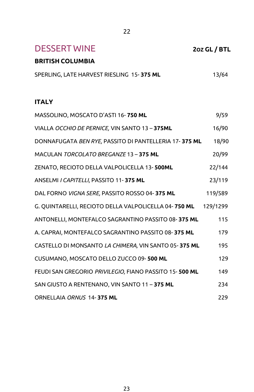| <b>DESSERT WINE</b>                                    | 2oz GL / BTL |
|--------------------------------------------------------|--------------|
| <b>BRITISH COLUMBIA</b>                                |              |
| SPERLING, LATE HARVEST RIESLING 15-375 ML              | 13/64        |
|                                                        |              |
| <b>ITALY</b>                                           |              |
| MASSOLINO, MOSCATO D'ASTI 16-750 ML                    | 9/59         |
| VIALLA OCCHIO DE PERNICE, VIN SANTO 13 - 375ML         | 16/90        |
| DONNAFUGATA BEN RYE, PASSITO DI PANTELLERIA 17-375 ML  | 18/90        |
| MACULAN TORCOLATO BREGANZE 13 - 375 ML                 | 20/99        |
| ZENATO, RECIOTO DELLA VALPOLICELLA 13-500ML            | 22/144       |
| ANSELMI / CAPITELLI, PASSITO 11-375 ML                 | 23/119       |
| DAL FORNO VIGNA SERE, PASSITO ROSSO 04-375 ML          | 119/589      |
| G. QUINTARELLI, RECIOTO DELLA VALPOLICELLA 04-750 ML   | 129/1299     |
| ANTONELLI, MONTEFALCO SAGRANTINO PASSITO 08-375 ML     | 115          |
| A. CAPRAI, MONTEFALCO SAGRANTINO PASSITO 08-375 ML     | 179          |
| CASTELLO DI MONSANTO LA CHIMERA, VIN SANTO 05-375 ML   | 195          |
| CUSUMANO, MOSCATO DELLO ZUCCO 09-500 ML                | 129          |
| FEUDI SAN GREGORIO PRIVILEGIO, FIANO PASSITO 15-500 ML | 149          |
| SAN GIUSTO A RENTENANO, VIN SANTO 11 - 375 ML          | 234          |
| ORNELLAIA ORNUS 14-375 ML                              | 229          |

<u>22</u>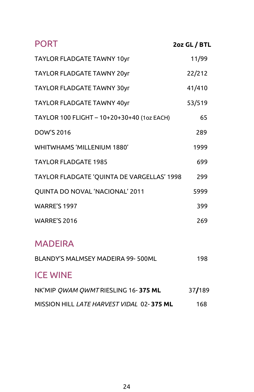| <b>PORT</b>                                | 2oz GL / BTL |
|--------------------------------------------|--------------|
| TAYLOR FLADGATE TAWNY 10yr                 | 11/99        |
| TAYLOR FLADGATE TAWNY 20yr                 | 22/212       |
| TAYLOR FLADGATE TAWNY 30yr                 | 41/410       |
| TAYLOR FLADGATE TAWNY 40yr                 | 53/519       |
| TAYLOR 100 FLIGHT - 10+20+30+40 (1oz EACH) | 65           |
| DOW'S 2016                                 | 289          |
| <b>WHITWHAMS 'MILLENIUM 1880'</b>          | 1999         |
| <b>TAYLOR FLADGATE 1985</b>                | 699          |
| TAYLOR FLADGATE 'QUINTA DE VARGELLAS' 1998 | 299          |
| QUINTA DO NOVAL 'NACIONAL' 2011            | 5999         |
| <b>WARRE'S 1997</b>                        | 399          |
| <b>WARRE'S 2016</b>                        | 269          |

### MADEIRA

| BLANDY'S MALMSEY MADEIRA 99-500ML         | 198    |
|-------------------------------------------|--------|
| <b>ICE WINE</b>                           |        |
| NK'MIP QWAM QWMTRIESLING 16-375 ML        | 37/189 |
| MISSION HILL LATE HARVEST VIDAL 02-375 ML | 168    |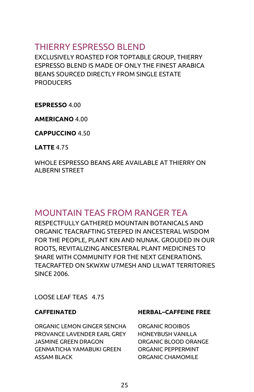### THIERRY ESPRESSO BLEND

EXCLUSIVELY ROASTED FOR TOPTABLE GROUP, THIERRY ESPRESSO BLEND IS MADE OF ONLY THE FINEST ARABICA BEANS SOURCED DIRECTLY FROM SINGLE ESTATE **PRODUCERS** 

ESPRESSO 4.00

AMERICANO 4.00

CAPPUCCINO 4.50

LATTE 4.75

WHOLE ESPRESSO BEANS ARE AVAILABLE AT THIERRY ON ALBERNI STREET

### MOUNTAIN TEAS FROM RANGER TEA

RESPECTFULLY GATHERED MOUNTAIN BOTANICALS AND ORGANIC TEACRAFTING STEEPED IN ANCESTERAL WISDOM FOR THE PEOPLE, PLANT KIN AND NUNAK. GROUDED IN OUR ROOTS, REVITALIZING ANCESTERAL PLANT MEDICINES TO SHARE WITH COMMUNITY FOR THE NEXT GENERATIONS. TEACRAFTED ON SKWXW U7MESH AND LILWAT TERRITORIES SINCE 2006.

LOOSE LEAF TEAS 4.75

ORGANIC LEMON GINGER SENCHA ORGANIC ROOIBOS PROVANCE LAVENDER EARL GREY HONEYBUSH VANILLA JASMINE GREEN DRAGON ORGANIC BLOOD ORANGE GENMATICHA YAMABUKI GREEN ORGANIC PEPPERMINT ASSAM BLACK ORGANIC CHAMOMILE

#### CAFFEINATED HERBAL–CAFFEINE FREE